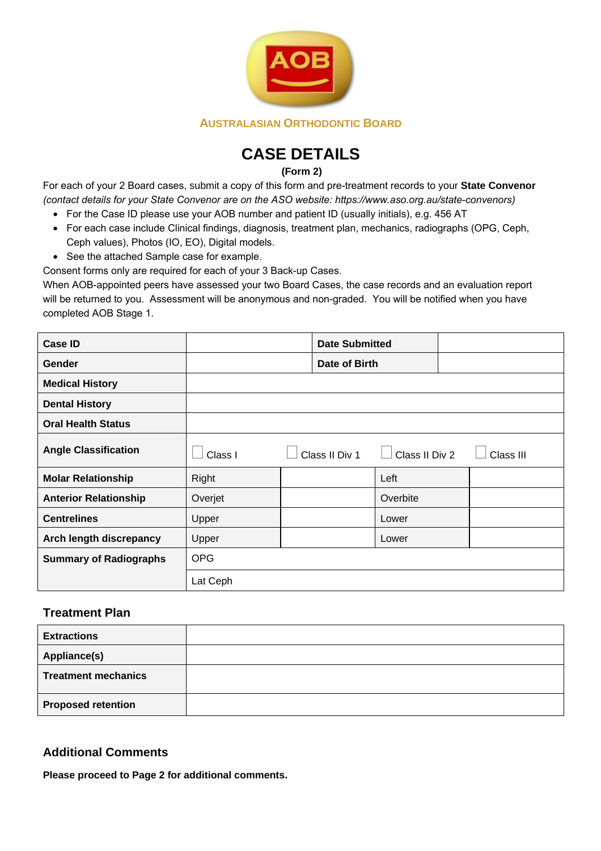

# **CASE DETAILS**

**(Form 2)** 

For each of your 2 Board cases, submit a copy of this form and pre-treatment records to your **State Convenor** *(contact details for your State Convenor are on the ASO website: https://www.aso.org.au/state-convenors)*

- For the Case ID please use your AOB number and patient ID (usually initials), e.g. 456 AT
- For each case include Clinical findings, diagnosis, treatment plan, mechanics, radiographs (OPG, Ceph, Ceph values), Photos (IO, EO), Digital models.
- See the attached Sample case for example.

Consent forms only are required for each of your 3 Back-up Cases.

When AOB-appointed peers have assessed your two Board Cases, the case records and an evaluation report will be returned to you. Assessment will be anonymous and non-graded. You will be notified when you have completed AOB Stage 1.

| Case ID                       |               | <b>Date Submitted</b> |                |           |
|-------------------------------|---------------|-----------------------|----------------|-----------|
| Gender                        | Date of Birth |                       |                |           |
| <b>Medical History</b>        |               |                       |                |           |
| <b>Dental History</b>         |               |                       |                |           |
| <b>Oral Health Status</b>     |               |                       |                |           |
| <b>Angle Classification</b>   | Class I       | Class II Div 1        | Class II Div 2 | Class III |
| <b>Molar Relationship</b>     | Right         |                       | Left           |           |
| <b>Anterior Relationship</b>  | Overjet       |                       | Overbite       |           |
| <b>Centrelines</b>            | Upper         |                       | Lower          |           |
| Arch length discrepancy       | Upper         |                       | Lower          |           |
| <b>Summary of Radiographs</b> | <b>OPG</b>    |                       |                |           |
|                               | Lat Ceph      |                       |                |           |

### **Treatment Plan**

| <b>Extractions</b>         |  |
|----------------------------|--|
| Appliance(s)               |  |
| <b>Treatment mechanics</b> |  |
| <b>Proposed retention</b>  |  |

# **Additional Comments**

**Please proceed to Page 2 for additional comments.**